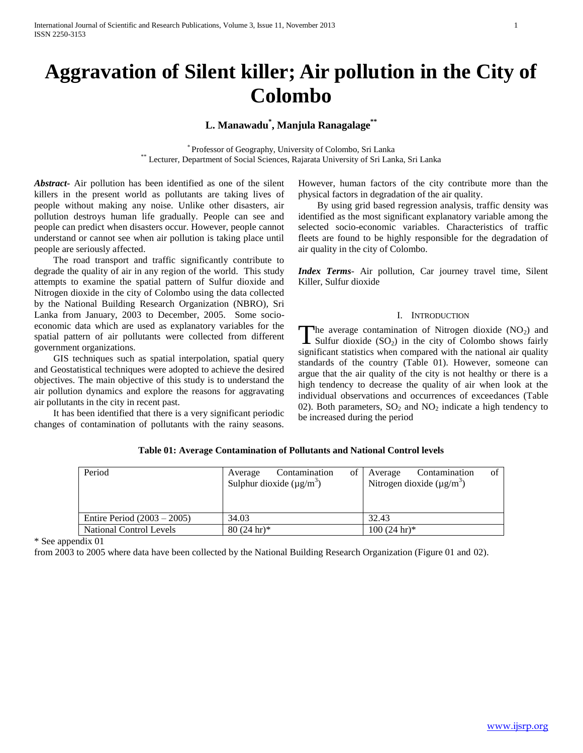# **Aggravation of Silent killer; Air pollution in the City of Colombo**

# **L. Manawadu\* , Manjula Ranagalage\*\***

\* Professor of Geography, University of Colombo, Sri Lanka \*\* Lecturer, Department of Social Sciences, Rajarata University of Sri Lanka, Sri Lanka

*Abstract***-** Air pollution has been identified as one of the silent killers in the present world as pollutants are taking lives of people without making any noise. Unlike other disasters, air pollution destroys human life gradually. People can see and people can predict when disasters occur. However, people cannot understand or cannot see when air pollution is taking place until people are seriously affected.

 The road transport and traffic significantly contribute to degrade the quality of air in any region of the world. This study attempts to examine the spatial pattern of Sulfur dioxide and Nitrogen dioxide in the city of Colombo using the data collected by the National Building Research Organization (NBRO), Sri Lanka from January, 2003 to December, 2005. Some socioeconomic data which are used as explanatory variables for the spatial pattern of air pollutants were collected from different government organizations.

 GIS techniques such as spatial interpolation, spatial query and Geostatistical techniques were adopted to achieve the desired objectives. The main objective of this study is to understand the air pollution dynamics and explore the reasons for aggravating air pollutants in the city in recent past.

 It has been identified that there is a very significant periodic changes of contamination of pollutants with the rainy seasons. However, human factors of the city contribute more than the physical factors in degradation of the air quality.

 By using grid based regression analysis, traffic density was identified as the most significant explanatory variable among the selected socio-economic variables. Characteristics of traffic fleets are found to be highly responsible for the degradation of air quality in the city of Colombo.

*Index Terms*- Air pollution, Car journey travel time, Silent Killer, Sulfur dioxide

#### I. INTRODUCTION

The average contamination of Nitrogen dioxide  $(NO<sub>2</sub>)$  and Sulfur dioxide  $(SO<sub>2</sub>)$  in the city of Colombo shows fairly Sulfur dioxide  $(SO<sub>2</sub>)$  in the city of Colombo shows fairly significant statistics when compared with the national air quality standards of the country (Table 01). However, someone can argue that the air quality of the city is not healthy or there is a high tendency to decrease the quality of air when look at the individual observations and occurrences of exceedances (Table 02). Both parameters,  $SO_2$  and  $NO_2$  indicate a high tendency to be increased during the period

| Table 01: Average Contamination of Pollutants and National Control levels |  |  |  |  |  |
|---------------------------------------------------------------------------|--|--|--|--|--|
|---------------------------------------------------------------------------|--|--|--|--|--|

| Period                        | Contamination<br>of  <br>Average<br>Sulphur dioxide $(\mu g/m^3)$ | Contamination<br>Average<br>Nitrogen dioxide ( $\mu$ g/m <sup>3</sup> ) | Ωt |
|-------------------------------|-------------------------------------------------------------------|-------------------------------------------------------------------------|----|
| Entire Period $(2003 - 2005)$ | 34.03                                                             | 32.43                                                                   |    |
| National Control Levels       | $80(24)$ hr <sup>*</sup>                                          | $100(24)$ hr <sup>3*</sup>                                              |    |

\* See appendix 01

from 2003 to 2005 where data have been collected by the National Building Research Organization (Figure 01 and 02).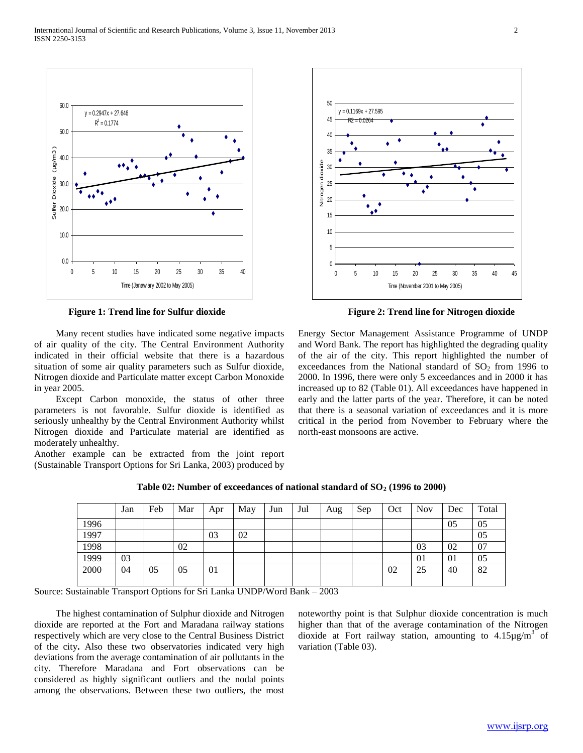

 Many recent studies have indicated some negative impacts of air quality of the city. The Central Environment Authority indicated in their official website that there is a hazardous situation of some air quality parameters such as Sulfur dioxide, Nitrogen dioxide and Particulate matter except Carbon Monoxide in year 2005.

 Except Carbon monoxide, the status of other three parameters is not favorable. Sulfur dioxide is identified as seriously unhealthy by the Central Environment Authority whilst Nitrogen dioxide and Particulate material are identified as moderately unhealthy.

Another example can be extracted from the joint report (Sustainable Transport Options for Sri Lanka, 2003) produced by



**Figure 1: Trend line for Sulfur dioxide Figure 2: Trend line for Nitrogen dioxide** 

Energy Sector Management Assistance Programme of UNDP and Word Bank. The report has highlighted the degrading quality of the air of the city. This report highlighted the number of exceedances from the National standard of  $SO<sub>2</sub>$  from 1996 to 2000. In 1996, there were only 5 exceedances and in 2000 it has increased up to 82 (Table 01). All exceedances have happened in early and the latter parts of the year. Therefore, it can be noted that there is a seasonal variation of exceedances and it is more critical in the period from November to February where the north-east monsoons are active.

|      | Jan | Feb | Mar | Apr | May | Jun | Jul | Aug | Sep | Oct | <b>Nov</b> | Dec | Total |
|------|-----|-----|-----|-----|-----|-----|-----|-----|-----|-----|------------|-----|-------|
| 1996 |     |     |     |     |     |     |     |     |     |     |            | 05  | 05    |
| 1997 |     |     |     | 03  | 02  |     |     |     |     |     |            |     | 05    |
| 1998 |     |     | 02  |     |     |     |     |     |     |     | 03         | 02  | 07    |
| 1999 | 03  |     |     |     |     |     |     |     |     |     | 01         | 01  | 05    |
| 2000 | 04  | 05  | 05  | 01  |     |     |     |     |     | 02  | 25         | 40  | 82    |

**Table 02: Number of exceedances of national standard of SO<sup>2</sup> (1996 to 2000)**

Source: Sustainable Transport Options for Sri Lanka UNDP/Word Bank – 2003

 The highest contamination of Sulphur dioxide and Nitrogen dioxide are reported at the Fort and Maradana railway stations respectively which are very close to the Central Business District of the city**.** Also these two observatories indicated very high deviations from the average contamination of air pollutants in the city. Therefore Maradana and Fort observations can be considered as highly significant outliers and the nodal points among the observations. Between these two outliers, the most

noteworthy point is that Sulphur dioxide concentration is much higher than that of the average contamination of the Nitrogen dioxide at Fort railway station, amounting to  $4.15 \mu g/m^3$  of variation (Table 03).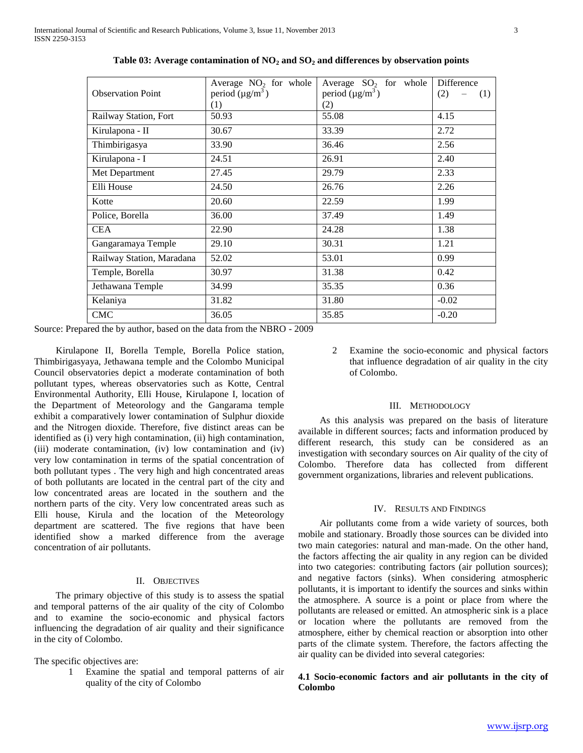| Average $NO2$ for whole<br>Average $SO_2$ for whole<br>Difference<br>period $(\mu g/m^3)$<br>period $(\mu g/m^3)$<br><b>Observation Point</b><br>(2)<br>(1)<br>(1)<br>(2)<br>Railway Station, Fort<br>50.93<br>55.08<br>4.15<br>33.39<br>2.72<br>30.67<br>Kirulapona - II<br>Thimbirigasya<br>33.90<br>2.56<br>36.46<br>24.51<br>Kirulapona - I<br>2.40<br>26.91<br>2.33<br>27.45<br>29.79<br>Met Department<br>Elli House<br>24.50<br>2.26<br>26.76<br>20.60<br>22.59<br>1.99<br>Kotte<br>37.49<br>1.49<br>Police, Borella<br>36.00<br><b>CEA</b><br>22.90<br>24.28<br>1.38<br>Gangaramaya Temple<br>29.10<br>30.31<br>1.21<br>Railway Station, Maradana<br>52.02<br>53.01<br>0.99<br>31.38<br>0.42<br>Temple, Borella<br>30.97<br>Jethawana Temple<br>34.99<br>35.35<br>0.36<br>31.82<br>31.80<br>$-0.02$<br>Kelaniya<br><b>CMC</b><br>36.05<br>35.85<br>$-0.20$ |  |  |
|--------------------------------------------------------------------------------------------------------------------------------------------------------------------------------------------------------------------------------------------------------------------------------------------------------------------------------------------------------------------------------------------------------------------------------------------------------------------------------------------------------------------------------------------------------------------------------------------------------------------------------------------------------------------------------------------------------------------------------------------------------------------------------------------------------------------------------------------------------------------|--|--|
|                                                                                                                                                                                                                                                                                                                                                                                                                                                                                                                                                                                                                                                                                                                                                                                                                                                                    |  |  |
|                                                                                                                                                                                                                                                                                                                                                                                                                                                                                                                                                                                                                                                                                                                                                                                                                                                                    |  |  |
|                                                                                                                                                                                                                                                                                                                                                                                                                                                                                                                                                                                                                                                                                                                                                                                                                                                                    |  |  |
|                                                                                                                                                                                                                                                                                                                                                                                                                                                                                                                                                                                                                                                                                                                                                                                                                                                                    |  |  |
|                                                                                                                                                                                                                                                                                                                                                                                                                                                                                                                                                                                                                                                                                                                                                                                                                                                                    |  |  |
|                                                                                                                                                                                                                                                                                                                                                                                                                                                                                                                                                                                                                                                                                                                                                                                                                                                                    |  |  |
|                                                                                                                                                                                                                                                                                                                                                                                                                                                                                                                                                                                                                                                                                                                                                                                                                                                                    |  |  |
|                                                                                                                                                                                                                                                                                                                                                                                                                                                                                                                                                                                                                                                                                                                                                                                                                                                                    |  |  |
|                                                                                                                                                                                                                                                                                                                                                                                                                                                                                                                                                                                                                                                                                                                                                                                                                                                                    |  |  |
|                                                                                                                                                                                                                                                                                                                                                                                                                                                                                                                                                                                                                                                                                                                                                                                                                                                                    |  |  |
|                                                                                                                                                                                                                                                                                                                                                                                                                                                                                                                                                                                                                                                                                                                                                                                                                                                                    |  |  |
|                                                                                                                                                                                                                                                                                                                                                                                                                                                                                                                                                                                                                                                                                                                                                                                                                                                                    |  |  |
|                                                                                                                                                                                                                                                                                                                                                                                                                                                                                                                                                                                                                                                                                                                                                                                                                                                                    |  |  |
|                                                                                                                                                                                                                                                                                                                                                                                                                                                                                                                                                                                                                                                                                                                                                                                                                                                                    |  |  |
|                                                                                                                                                                                                                                                                                                                                                                                                                                                                                                                                                                                                                                                                                                                                                                                                                                                                    |  |  |
|                                                                                                                                                                                                                                                                                                                                                                                                                                                                                                                                                                                                                                                                                                                                                                                                                                                                    |  |  |
|                                                                                                                                                                                                                                                                                                                                                                                                                                                                                                                                                                                                                                                                                                                                                                                                                                                                    |  |  |
|                                                                                                                                                                                                                                                                                                                                                                                                                                                                                                                                                                                                                                                                                                                                                                                                                                                                    |  |  |

**Table 03: Average contamination of NO<sup>2</sup> and SO<sup>2</sup> and differences by observation points**

Source: Prepared the by author, based on the data from the NBRO - 2009

 Kirulapone II, Borella Temple, Borella Police station, Thimbirigasyaya, Jethawana temple and the Colombo Municipal Council observatories depict a moderate contamination of both pollutant types, whereas observatories such as Kotte, Central Environmental Authority, Elli House, Kirulapone I, location of the Department of Meteorology and the Gangarama temple exhibit a comparatively lower contamination of Sulphur dioxide and the Nitrogen dioxide. Therefore, five distinct areas can be identified as (i) very high contamination, (ii) high contamination, (iii) moderate contamination, (iv) low contamination and (iv) very low contamination in terms of the spatial concentration of both pollutant types . The very high and high concentrated areas of both pollutants are located in the central part of the city and low concentrated areas are located in the southern and the northern parts of the city. Very low concentrated areas such as Elli house, Kirula and the location of the Meteorology department are scattered. The five regions that have been identified show a marked difference from the average concentration of air pollutants.

#### II. OBJECTIVES

 The primary objective of this study is to assess the spatial and temporal patterns of the air quality of the city of Colombo and to examine the socio-economic and physical factors influencing the degradation of air quality and their significance in the city of Colombo.

The specific objectives are:

1 Examine the spatial and temporal patterns of air quality of the city of Colombo

2 Examine the socio-economic and physical factors that influence degradation of air quality in the city of Colombo.

#### III. METHODOLOGY

 As this analysis was prepared on the basis of literature available in different sources; facts and information produced by different research, this study can be considered as an investigation with secondary sources on Air quality of the city of Colombo. Therefore data has collected from different government organizations, libraries and relevent publications.

#### IV. RESULTS AND FINDINGS

 Air pollutants come from a wide variety of sources, both mobile and stationary. Broadly those sources can be divided into two main categories: natural and man-made. On the other hand, the factors affecting the air quality in any region can be divided into two categories: contributing factors (air pollution sources); and negative factors (sinks). When considering atmospheric pollutants, it is important to identify the sources and sinks within the atmosphere. A source is a point or place from where the pollutants are released or emitted. An atmospheric sink is a place or location where the pollutants are removed from the atmosphere, either by chemical reaction or absorption into other parts of the climate system. Therefore, the factors affecting the air quality can be divided into several categories:

# **4.1 Socio-economic factors and air pollutants in the city of Colombo**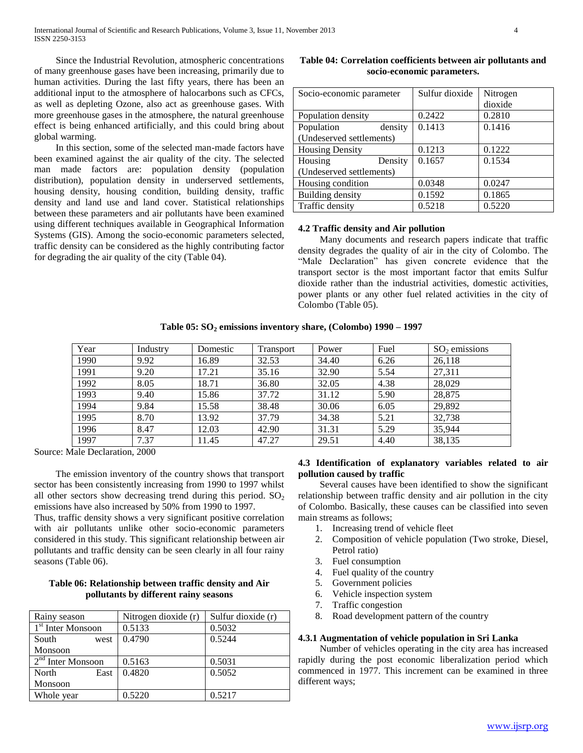Since the Industrial Revolution, atmospheric concentrations of many greenhouse gases have been increasing, primarily due to human activities. During the last fifty years, there has been an additional input to the atmosphere of halocarbons such as CFCs, as well as depleting Ozone, also act as greenhouse gases. With more greenhouse gases in the atmosphere, the natural greenhouse effect is being enhanced artificially, and this could bring about global warming.

 In this section, some of the selected man-made factors have been examined against the air quality of the city. The selected man made factors are: population density (population distribution), population density in underserved settlements, housing density, housing condition, building density, traffic density and land use and land cover. Statistical relationships between these parameters and air pollutants have been examined using different techniques available in Geographical Information Systems (GIS). Among the socio-economic parameters selected, traffic density can be considered as the highly contributing factor for degrading the air quality of the city (Table 04).

| Socio-economic parameter | Sulfur dioxide | Nitrogen |
|--------------------------|----------------|----------|
|                          |                | dioxide  |
| Population density       | 0.2422         | 0.2810   |
| Population<br>density    | 0.1413         | 0.1416   |
| (Undeserved settlements) |                |          |
| <b>Housing Density</b>   | 0.1213         | 0.1222   |
| Housing<br>Density       | 0.1657         | 0.1534   |
| (Undeserved settlements) |                |          |
| Housing condition        | 0.0348         | 0.0247   |
| Building density         | 0.1592         | 0.1865   |
| Traffic density          | 0.5218         | 0.5220   |

## **Table 04: Correlation coefficients between air pollutants and socio-economic parameters.**

#### **4.2 Traffic density and Air pollution**

 Many documents and research papers indicate that traffic density degrades the quality of air in the city of Colombo. The "Male Declaration" has given concrete evidence that the transport sector is the most important factor that emits Sulfur dioxide rather than the industrial activities, domestic activities, power plants or any other fuel related activities in the city of Colombo (Table 05).

**Table 05: SO<sup>2</sup> emissions inventory share, (Colombo) 1990 – 1997**

| Year | Industry | Domestic | Transport | Power | Fuel | $SO2$ emissions |
|------|----------|----------|-----------|-------|------|-----------------|
| 1990 | 9.92     | 16.89    | 32.53     | 34.40 | 6.26 | 26,118          |
| 1991 | 9.20     | 17.21    | 35.16     | 32.90 | 5.54 | 27,311          |
| 1992 | 8.05     | 18.71    | 36.80     | 32.05 | 4.38 | 28,029          |
| 1993 | 9.40     | 15.86    | 37.72     | 31.12 | 5.90 | 28,875          |
| 1994 | 9.84     | 15.58    | 38.48     | 30.06 | 6.05 | 29,892          |
| 1995 | 8.70     | 13.92    | 37.79     | 34.38 | 5.21 | 32,738          |
| 1996 | 8.47     | 12.03    | 42.90     | 31.31 | 5.29 | 35,944          |
| 1997 | 7.37     | 11.45    | 47.27     | 29.51 | 4.40 | 38,135          |

Source: Male Declaration, 2000

 The emission inventory of the country shows that transport sector has been consistently increasing from 1990 to 1997 whilst all other sectors show decreasing trend during this period.  $SO_2$ emissions have also increased by 50% from 1990 to 1997.

Thus, traffic density shows a very significant positive correlation with air pollutants unlike other socio-economic parameters considered in this study. This significant relationship between air pollutants and traffic density can be seen clearly in all four rainy seasons (Table 06).

#### **Table 06: Relationship between traffic density and Air pollutants by different rainy seasons**

| Rainy season                  | Nitrogen dioxide (r) | Sulfur dioxide (r) |
|-------------------------------|----------------------|--------------------|
| 1 <sup>st</sup> Inter Monsoon | 0.5133               | 0.5032             |
| South<br>west                 | 0.4790               | 0.5244             |
| Monsoon                       |                      |                    |
| $2nd$ Inter Monsoon           | 0.5163               | 0.5031             |
| North<br>East                 | 0.4820               | 0.5052             |
| Monsoon                       |                      |                    |
| Whole year                    | 0.5220               | 0.5217             |

#### **4.3 Identification of explanatory variables related to air pollution caused by traffic**

 Several causes have been identified to show the significant relationship between traffic density and air pollution in the city of Colombo. Basically, these causes can be classified into seven main streams as follows;

- 1. Increasing trend of vehicle fleet
- 2. Composition of vehicle population (Two stroke, Diesel, Petrol ratio)
- 3. Fuel consumption
- 4. Fuel quality of the country
- 5. Government policies
- 6. Vehicle inspection system
- 7. Traffic congestion
- 8. Road development pattern of the country

#### **4.3.1 Augmentation of vehicle population in Sri Lanka**

 Number of vehicles operating in the city area has increased rapidly during the post economic liberalization period which commenced in 1977. This increment can be examined in three different ways;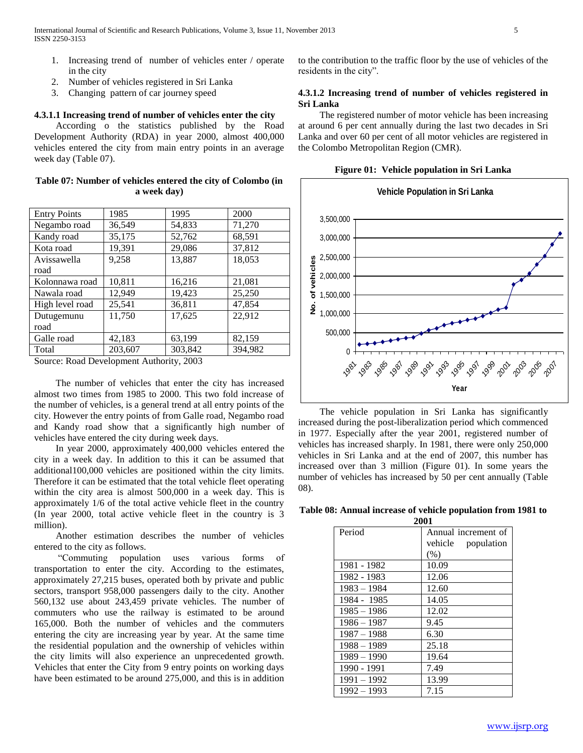- 1. Increasing trend of number of vehicles enter / operate in the city
- 2. Number of vehicles registered in Sri Lanka
- 3. Changing pattern of car journey speed

#### **4.3.1.1 Increasing trend of number of vehicles enter the city**

 According o the statistics published by the Road Development Authority (RDA) in year 2000, almost 400,000 vehicles entered the city from main entry points in an average week day (Table 07).

**Table 07: Number of vehicles entered the city of Colombo (in a week day)**

| <b>Entry Points</b> | 1985    | 1995    | 2000    |
|---------------------|---------|---------|---------|
| Negambo road        | 36,549  | 54,833  | 71,270  |
| Kandy road          | 35,175  | 52,762  | 68,591  |
| Kota road           | 19,391  | 29,086  | 37,812  |
| Avissawella         | 9,258   | 13,887  | 18,053  |
| road                |         |         |         |
| Kolonnawa road      | 10,811  | 16,216  | 21,081  |
| Nawala road         | 12,949  | 19,423  | 25,250  |
| High level road     | 25,541  | 36,811  | 47,854  |
| Dutugemunu          | 11,750  | 17,625  | 22,912  |
| road                |         |         |         |
| Galle road          | 42,183  | 63,199  | 82,159  |
| Total               | 203,607 | 303,842 | 394,982 |

Source: Road Development Authority, 2003

 The number of vehicles that enter the city has increased almost two times from 1985 to 2000. This two fold increase of the number of vehicles, is a general trend at all entry points of the city. However the entry points of from Galle road, Negambo road and Kandy road show that a significantly high number of vehicles have entered the city during week days.

 In year 2000, approximately 400,000 vehicles entered the city in a week day. In addition to this it can be assumed that additional100,000 vehicles are positioned within the city limits. Therefore it can be estimated that the total vehicle fleet operating within the city area is almost 500,000 in a week day. This is approximately 1/6 of the total active vehicle fleet in the country (In year 2000, total active vehicle fleet in the country is 3 million).

 Another estimation describes the number of vehicles entered to the city as follows.

 "Commuting population uses various forms of transportation to enter the city. According to the estimates, approximately 27,215 buses, operated both by private and public sectors, transport 958,000 passengers daily to the city. Another 560,132 use about 243,459 private vehicles. The number of commuters who use the railway is estimated to be around 165,000. Both the number of vehicles and the commuters entering the city are increasing year by year. At the same time the residential population and the ownership of vehicles within the city limits will also experience an unprecedented growth. Vehicles that enter the City from 9 entry points on working days have been estimated to be around 275,000, and this is in addition

to the contribution to the traffic floor by the use of vehicles of the residents in the city".

## **4.3.1.2 Increasing trend of number of vehicles registered in Sri Lanka**

 The registered number of motor vehicle has been increasing at around 6 per cent annually during the last two decades in Sri Lanka and over 60 per cent of all motor vehicles are registered in the Colombo Metropolitan Region (CMR).

**Figure 01: Vehicle population in Sri Lanka**



 The vehicle population in Sri Lanka has significantly increased during the post-liberalization period which commenced in 1977. Especially after the year 2001, registered number of vehicles has increased sharply. In 1981, there were only 250,000 vehicles in Sri Lanka and at the end of 2007, this number has increased over than 3 million (Figure 01). In some years the number of vehicles has increased by 50 per cent annually (Table 08).

**Table 08: Annual increase of vehicle population from 1981 to 2001**

|               | 4VV 1               |
|---------------|---------------------|
| Period        | Annual increment of |
|               | vehicle population  |
|               | (% )                |
| 1981 - 1982   | 10.09               |
| 1982 - 1983   | 12.06               |
| $1983 - 1984$ | 12.60               |
| 1984 - 1985   | 14.05               |
| $1985 - 1986$ | 12.02               |
| $1986 - 1987$ | 9.45                |
| $1987 - 1988$ | 6.30                |
| $1988 - 1989$ | 25.18               |
| $1989 - 1990$ | 19.64               |
| 1990 - 1991   | 7.49                |
| $1991 - 1992$ | 13.99               |
| $1992 - 1993$ | 7.15                |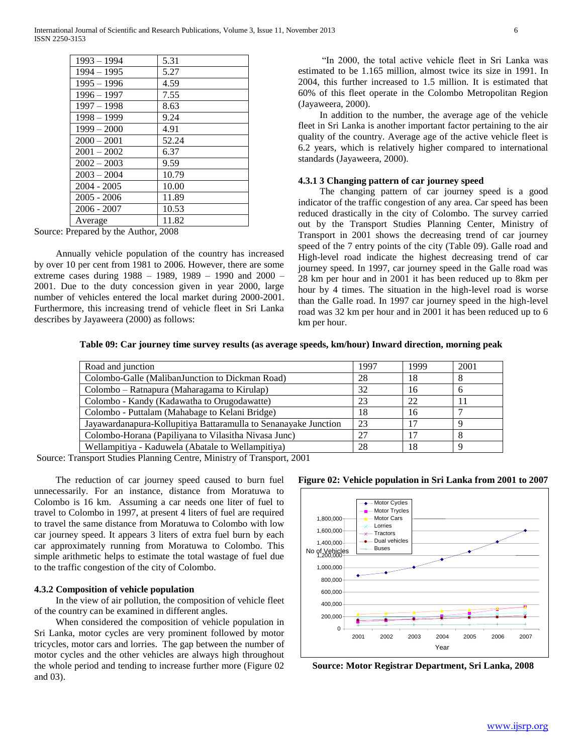| $1993 - 1994$ | 5.31  |
|---------------|-------|
| 1994 – 1995   | 5.27  |
| $1995 - 1996$ | 4.59  |
| $1996 - 1997$ | 7.55  |
| $1997 - 1998$ | 8.63  |
| $1998 - 1999$ | 9.24  |
| $1999 - 2000$ | 4.91  |
| $2000 - 2001$ | 52.24 |
| $2001 - 2002$ | 6.37  |
| $2002 - 2003$ | 9.59  |
| $2003 - 2004$ | 10.79 |
| $2004 - 2005$ | 10.00 |
| $2005 - 2006$ | 11.89 |
| $2006 - 2007$ | 10.53 |
| Average       | 11.82 |

Source: Prepared by the Author, 2008

 Annually vehicle population of the country has increased by over 10 per cent from 1981 to 2006. However, there are some extreme cases during 1988 – 1989, 1989 – 1990 and 2000 – 2001. Due to the duty concession given in year 2000, large number of vehicles entered the local market during 2000-2001. Furthermore, this increasing trend of vehicle fleet in Sri Lanka describes by Jayaweera (2000) as follows:

 "In 2000, the total active vehicle fleet in Sri Lanka was estimated to be 1.165 million, almost twice its size in 1991. In 2004, this further increased to 1.5 million. It is estimated that 60% of this fleet operate in the Colombo Metropolitan Region (Jayaweera, 2000).

 In addition to the number, the average age of the vehicle fleet in Sri Lanka is another important factor pertaining to the air quality of the country. Average age of the active vehicle fleet is 6.2 years, which is relatively higher compared to international standards (Jayaweera, 2000).

#### **4.3.1 3 Changing pattern of car journey speed**

 The changing pattern of car journey speed is a good indicator of the traffic congestion of any area. Car speed has been reduced drastically in the city of Colombo. The survey carried out by the Transport Studies Planning Center, Ministry of Transport in 2001 shows the decreasing trend of car journey speed of the 7 entry points of the city (Table 09). Galle road and High-level road indicate the highest decreasing trend of car journey speed. In 1997, car journey speed in the Galle road was 28 km per hour and in 2001 it has been reduced up to 8km per hour by 4 times. The situation in the high-level road is worse than the Galle road. In 1997 car journey speed in the high-level road was 32 km per hour and in 2001 it has been reduced up to 6 km per hour.

**Table 09: Car journey time survey results (as average speeds, km/hour) Inward direction, morning peak**

| Road and junction                                               | 1997 | 1999            | 2001 |
|-----------------------------------------------------------------|------|-----------------|------|
| Colombo-Galle (MalibanJunction to Dickman Road)                 | 28   | 18              | Ō    |
| Colombo – Ratnapura (Maharagama to Kirulap)                     | 32   | 16              | n    |
| Colombo - Kandy (Kadawatha to Orugodawatte)                     | 23   | 22              |      |
| Colombo - Puttalam (Mahabage to Kelani Bridge)                  | 18   | 16              |      |
| Jayawardanapura-Kollupitiya Battaramulla to Senanayake Junction | 23   | 17              |      |
| Colombo-Horana (Papiliyana to Vilasitha Nivasa Junc)            | 27   | $\overline{17}$ |      |
| Wellampitiya - Kaduwela (Abatale to Wellampitiya)               | 28   | 18              |      |

Source: Transport Studies Planning Centre, Ministry of Transport, 2001

 The reduction of car journey speed caused to burn fuel unnecessarily. For an instance, distance from Moratuwa to Colombo is 16 km. Assuming a car needs one liter of fuel to travel to Colombo in 1997, at present 4 liters of fuel are required to travel the same distance from Moratuwa to Colombo with low car journey speed. It appears 3 liters of extra fuel burn by each car approximately running from Moratuwa to Colombo. This simple arithmetic helps to estimate the total wastage of fuel due to the traffic congestion of the city of Colombo.

#### **4.3.2 Composition of vehicle population**

 In the view of air pollution, the composition of vehicle fleet of the country can be examined in different angles.

 When considered the composition of vehicle population in Sri Lanka, motor cycles are very prominent followed by motor tricycles, motor cars and lorries. The gap between the number of motor cycles and the other vehicles are always high throughout the whole period and tending to increase further more (Figure 02 and 03).



**Figure 02: Vehicle population in Sri Lanka from 2001 to 2007**

**Source: Motor Registrar Department, Sri Lanka, 2008**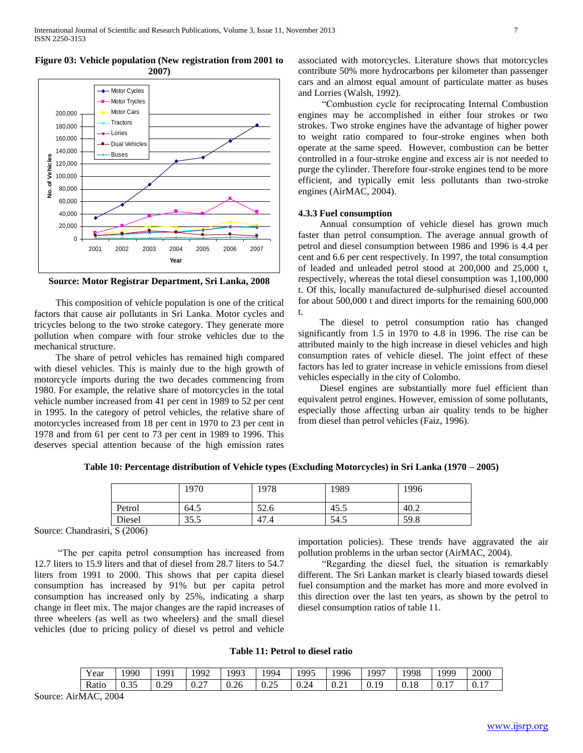

**Figure 03: Vehicle population (New registration from 2001 to 2007)**

**Source: Motor Registrar Department, Sri Lanka, 2008**

 This composition of vehicle population is one of the critical factors that cause air pollutants in Sri Lanka. Motor cycles and tricycles belong to the two stroke category. They generate more pollution when compare with four stroke vehicles due to the mechanical structure.

 The share of petrol vehicles has remained high compared with diesel vehicles. This is mainly due to the high growth of motorcycle imports during the two decades commencing from 1980. For example, the relative share of motorcycles in the total vehicle number increased from 41 per cent in 1989 to 52 per cent in 1995. In the category of petrol vehicles, the relative share of motorcycles increased from 18 per cent in 1970 to 23 per cent in 1978 and from 61 per cent to 73 per cent in 1989 to 1996. This deserves special attention because of the high emission rates

associated with motorcycles. Literature shows that motorcycles contribute 50% more hydrocarbons per kilometer than passenger cars and an almost equal amount of particulate matter as buses and Lorries (Walsh, 1992).

 "Combustion cycle for reciprocating Internal Combustion engines may be accomplished in either four strokes or two strokes. Two stroke engines have the advantage of higher power to weight ratio compared to four-stroke engines when both operate at the same speed. However, combustion can be better controlled in a four-stroke engine and excess air is not needed to purge the cylinder. Therefore four-stroke engines tend to be more efficient, and typically emit less pollutants than two-stroke engines (AirMAC, 2004).

## **4.3.3 Fuel consumption**

 Annual consumption of vehicle diesel has grown much faster than petrol consumption. The average annual growth of petrol and diesel consumption between 1986 and 1996 is 4.4 per cent and 6.6 per cent respectively. In 1997, the total consumption of leaded and unleaded petrol stood at 200,000 and 25,000 t, respectively, whereas the total diesel consumption was 1,100,000 t. Of this, locally manufactured de-sulphurised diesel accounted for about 500,000 t and direct imports for the remaining 600,000 t.

 The diesel to petrol consumption ratio has changed significantly from 1.5 in 1970 to 4.8 in 1996. The rise can be attributed mainly to the high increase in diesel vehicles and high consumption rates of vehicle diesel. The joint effect of these factors has led to grater increase in vehicle emissions from diesel vehicles especially in the city of Colombo.

 Diesel engines are substantially more fuel efficient than equivalent petrol engines. However, emission of some pollutants, especially those affecting urban air quality tends to be higher from diesel than petrol vehicles (Faiz, 1996).

|  |      | Table 10: Percentage distribution of Vehicle types (Excluding Motorcycles) in Sri Lanka (1970 – 2005) |      |      |  |
|--|------|-------------------------------------------------------------------------------------------------------|------|------|--|
|  | 1970 | 1978                                                                                                  | 1989 | 1996 |  |

|                                   | 1970 | 1978        | 1989 | 1996 |
|-----------------------------------|------|-------------|------|------|
| Petrol                            | 64.5 | rn.<br>J4.0 | 45.5 | 40.2 |
| Diesel                            | 35.5 | 47.4        | 54.5 | 59.8 |
| $\cdot$ $\cdot$ $\alpha$ $\alpha$ |      |             |      |      |

Source: Chandrasiri, S (2006)

 "The per capita petrol consumption has increased from 12.7 liters to 15.9 liters and that of diesel from 28.7 liters to 54.7 liters from 1991 to 2000. This shows that per capita diesel consumption has increased by 91% but per capita petrol consumption has increased only by 25%, indicating a sharp change in fleet mix. The major changes are the rapid increases of three wheelers (as well as two wheelers) and the small diesel vehicles (due to pricing policy of diesel vs petrol and vehicle importation policies). These trends have aggravated the air pollution problems in the urban sector (AirMAC, 2004).

 "Regarding the diesel fuel, the situation is remarkably different. The Sri Lankan market is clearly biased towards diesel fuel consumption and the market has more and more evolved in this direction over the last ten years, as shown by the petrol to diesel consumption ratios of table 11.

# **Table 11: Petrol to diesel ratio**

| $\mathbf{v}$<br>Year | 1990                 | $QQ^2$    | $ qq\rangle$  | 1993 | 994                   | 1995                          | 1996                    | $199^{-}$ | 1998          | 1999 | 2000   |
|----------------------|----------------------|-----------|---------------|------|-----------------------|-------------------------------|-------------------------|-----------|---------------|------|--------|
| Ratio                | $\sim$ $\sim$<br>ບ.ບ | 20<br>V.Z | $\sim$<br>V.Z | 0.26 | $\sim$ $\sim$<br>∪.∠J | $2^{\prime}$<br>$\sim$<br>∪.∠ | $\sim$<br>$\sim$<br>◡.∠ | 1 C       | $\sim$<br>1 Q | v.i  | $\sim$ |

Source: AirMAC, 2004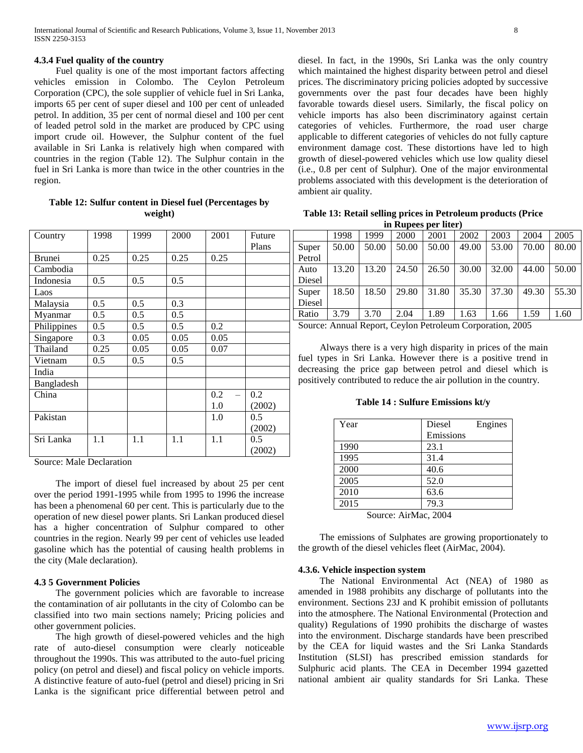#### **4.3.4 Fuel quality of the country**

 Fuel quality is one of the most important factors affecting vehicles emission in Colombo. The Ceylon Petroleum Corporation (CPC), the sole supplier of vehicle fuel in Sri Lanka, imports 65 per cent of super diesel and 100 per cent of unleaded petrol. In addition, 35 per cent of normal diesel and 100 per cent of leaded petrol sold in the market are produced by CPC using import crude oil. However, the Sulphur content of the fuel available in Sri Lanka is relatively high when compared with countries in the region (Table 12). The Sulphur contain in the fuel in Sri Lanka is more than twice in the other countries in the region.

**Table 12: Sulfur content in Diesel fuel (Percentages by weight)**

| Country       | 1998 | 1999 | 2000 | 2001 | Future        |
|---------------|------|------|------|------|---------------|
|               |      |      |      |      | Plans         |
| <b>Brunei</b> | 0.25 | 0.25 | 0.25 | 0.25 |               |
| Cambodia      |      |      |      |      |               |
| Indonesia     | 0.5  | 0.5  | 0.5  |      |               |
| Laos          |      |      |      |      |               |
| Malaysia      | 0.5  | 0.5  | 0.3  |      |               |
| Myanmar       | 0.5  | 0.5  | 0.5  |      |               |
| Philippines   | 0.5  | 0.5  | 0.5  | 0.2  |               |
| Singapore     | 0.3  | 0.05 | 0.05 | 0.05 |               |
| Thailand      | 0.25 | 0.05 | 0.05 | 0.07 |               |
| Vietnam       | 0.5  | 0.5  | 0.5  |      |               |
| India         |      |      |      |      |               |
| Bangladesh    |      |      |      |      |               |
| China         |      |      |      | 0.2  | 0.2           |
|               |      |      |      | 1.0  | (2002)        |
| Pakistan      |      |      |      | 1.0  | 0.5           |
|               |      |      |      |      | (2002)        |
| Sri Lanka     | 1.1  | 1.1  | 1.1  | 1.1  | $0.5^{\circ}$ |
|               |      |      |      |      | (2002)        |

Source: Male Declaration

 The import of diesel fuel increased by about 25 per cent over the period 1991-1995 while from 1995 to 1996 the increase has been a phenomenal 60 per cent. This is particularly due to the operation of new diesel power plants. Sri Lankan produced diesel has a higher concentration of Sulphur compared to other countries in the region. Nearly 99 per cent of vehicles use leaded gasoline which has the potential of causing health problems in the city (Male declaration).

#### **4.3 5 Government Policies**

 The government policies which are favorable to increase the contamination of air pollutants in the city of Colombo can be classified into two main sections namely; Pricing policies and other government policies.

 The high growth of diesel-powered vehicles and the high rate of auto-diesel consumption were clearly noticeable throughout the 1990s. This was attributed to the auto-fuel pricing policy (on petrol and diesel) and fiscal policy on vehicle imports. A distinctive feature of auto-fuel (petrol and diesel) pricing in Sri Lanka is the significant price differential between petrol and

diesel. In fact, in the 1990s, Sri Lanka was the only country which maintained the highest disparity between petrol and diesel prices. The discriminatory pricing policies adopted by successive governments over the past four decades have been highly favorable towards diesel users. Similarly, the fiscal policy on vehicle imports has also been discriminatory against certain categories of vehicles. Furthermore, the road user charge applicable to different categories of vehicles do not fully capture environment damage cost. These distortions have led to high growth of diesel-powered vehicles which use low quality diesel (i.e., 0.8 per cent of Sulphur). One of the major environmental problems associated with this development is the deterioration of ambient air quality.

| Table 13: Retail selling prices in Petroleum products (Price |
|--------------------------------------------------------------|
| in Rupees per liter)                                         |

|                                                           | 1998  | 1999  | 2000  | 2001  | 2002  | 2003  | 2004  | 2005  |
|-----------------------------------------------------------|-------|-------|-------|-------|-------|-------|-------|-------|
| Super<br>Petrol                                           | 50.00 | 50.00 | 50.00 | 50.00 | 49.00 | 53.00 | 70.00 | 80.00 |
| Auto<br>Diesel                                            | 13.20 | 13.20 | 24.50 | 26.50 | 30.00 | 32.00 | 44.00 | 50.00 |
| Super<br>Diesel                                           | 18.50 | 18.50 | 29.80 | 31.80 | 35.30 | 37.30 | 49.30 | 55.30 |
| Ratio                                                     | 3.79  | 3.70  | 2.04  | 1.89  | 1.63  | 1.66  | 1.59  | 1.60  |
| Source: Annual Report, Ceylon Petroleum Corporation, 2005 |       |       |       |       |       |       |       |       |

 Always there is a very high disparity in prices of the main fuel types in Sri Lanka. However there is a positive trend in decreasing the price gap between petrol and diesel which is positively contributed to reduce the air pollution in the country.

**Table 14 : Sulfure Emissions kt/y**

| Year |                                                                                                       | Diesel    | Engines |
|------|-------------------------------------------------------------------------------------------------------|-----------|---------|
|      |                                                                                                       | Emissions |         |
| 1990 |                                                                                                       | 23.1      |         |
| 1995 |                                                                                                       | 31.4      |         |
| 2000 |                                                                                                       | 40.6      |         |
| 2005 |                                                                                                       | 52.0      |         |
| 2010 |                                                                                                       | 63.6      |         |
| 2015 |                                                                                                       | 79.3      |         |
|      | $C_{\text{source}}$ , A $\mathbf{A}$ $\mathbf{A}$ $\mathbf{A}$ $\mathbf{A}$ $\mathbf{A}$ $\mathbf{A}$ |           |         |

Source: AirMac, 2004

 The emissions of Sulphates are growing proportionately to the growth of the diesel vehicles fleet (AirMac, 2004).

#### **4.3.6. Vehicle inspection system**

 The National Environmental Act (NEA) of 1980 as amended in 1988 prohibits any discharge of pollutants into the environment. Sections 23J and K prohibit emission of pollutants into the atmosphere. The National Environmental (Protection and quality) Regulations of 1990 prohibits the discharge of wastes into the environment. Discharge standards have been prescribed by the CEA for liquid wastes and the Sri Lanka Standards Institution (SLSI) has prescribed emission standards for Sulphuric acid plants. The CEA in December 1994 gazetted national ambient air quality standards for Sri Lanka. These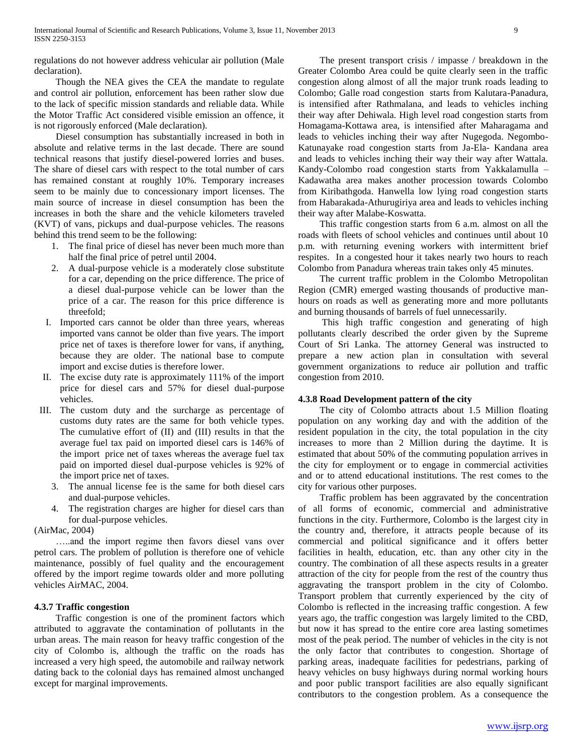regulations do not however address vehicular air pollution (Male declaration).

 Though the NEA gives the CEA the mandate to regulate and control air pollution, enforcement has been rather slow due to the lack of specific mission standards and reliable data. While the Motor Traffic Act considered visible emission an offence, it is not rigorously enforced (Male declaration).

 Diesel consumption has substantially increased in both in absolute and relative terms in the last decade. There are sound technical reasons that justify diesel-powered lorries and buses. The share of diesel cars with respect to the total number of cars has remained constant at roughly 10%. Temporary increases seem to be mainly due to concessionary import licenses. The main source of increase in diesel consumption has been the increases in both the share and the vehicle kilometers traveled (KVT) of vans, pickups and dual-purpose vehicles. The reasons behind this trend seem to be the following:

- 1. The final price of diesel has never been much more than half the final price of petrel until 2004.
- 2. A dual-purpose vehicle is a moderately close substitute for a car, depending on the price difference. The price of a diesel dual-purpose vehicle can be lower than the price of a car. The reason for this price difference is threefold;
- I. Imported cars cannot be older than three years, whereas imported vans cannot be older than five years. The import price net of taxes is therefore lower for vans, if anything, because they are older. The national base to compute import and excise duties is therefore lower.
- II. The excise duty rate is approximately 111% of the import price for diesel cars and 57% for diesel dual-purpose vehicles.
- III. The custom duty and the surcharge as percentage of customs duty rates are the same for both vehicle types. The cumulative effort of (II) and (III) results in that the average fuel tax paid on imported diesel cars is 146% of the import price net of taxes whereas the average fuel tax paid on imported diesel dual-purpose vehicles is 92% of the import price net of taxes.
	- 3. The annual license fee is the same for both diesel cars and dual-purpose vehicles.
	- 4. The registration charges are higher for diesel cars than for dual-purpose vehicles.

(AirMac, 2004)

 …..and the import regime then favors diesel vans over petrol cars. The problem of pollution is therefore one of vehicle maintenance, possibly of fuel quality and the encouragement offered by the import regime towards older and more polluting vehicles AirMAC, 2004.

#### **4.3.7 Traffic congestion**

 Traffic congestion is one of the prominent factors which attributed to aggravate the contamination of pollutants in the urban areas. The main reason for heavy traffic congestion of the city of Colombo is, although the traffic on the roads has increased a very high speed, the automobile and railway network dating back to the colonial days has remained almost unchanged except for marginal improvements.

 The present transport crisis / impasse / breakdown in the Greater Colombo Area could be quite clearly seen in the traffic congestion along almost of all the major trunk roads leading to Colombo; Galle road congestion starts from Kalutara-Panadura, is intensified after Rathmalana, and leads to vehicles inching their way after Dehiwala. High level road congestion starts from Homagama-Kottawa area, is intensified after Maharagama and leads to vehicles inching their way after Nugegoda. Negombo-Katunayake road congestion starts from Ja-Ela- Kandana area and leads to vehicles inching their way their way after Wattala. Kandy-Colombo road congestion starts from Yakkalamulla – Kadawatha area makes another procession towards Colombo from Kiribathgoda. Hanwella low lying road congestion starts from Habarakada-Athurugiriya area and leads to vehicles inching their way after Malabe-Koswatta.

 This traffic congestion starts from 6 a.m. almost on all the roads with fleets of school vehicles and continues until about 10 p.m. with returning evening workers with intermittent brief respites. In a congested hour it takes nearly two hours to reach Colombo from Panadura whereas train takes only 45 minutes.

 The current traffic problem in the Colombo Metropolitan Region (CMR) emerged wasting thousands of productive manhours on roads as well as generating more and more pollutants and burning thousands of barrels of fuel unnecessarily.

 This high traffic congestion and generating of high pollutants clearly described the order given by the Supreme Court of Sri Lanka. The attorney General was instructed to prepare a new action plan in consultation with several government organizations to reduce air pollution and traffic congestion from 2010.

#### **4.3.8 Road Development pattern of the city**

 The city of Colombo attracts about 1.5 Million floating population on any working day and with the addition of the resident population in the city, the total population in the city increases to more than 2 Million during the daytime. It is estimated that about 50% of the commuting population arrives in the city for employment or to engage in commercial activities and or to attend educational institutions. The rest comes to the city for various other purposes.

 Traffic problem has been aggravated by the concentration of all forms of economic, commercial and administrative functions in the city. Furthermore, Colombo is the largest city in the country and, therefore, it attracts people because of its commercial and political significance and it offers better facilities in health, education, etc. than any other city in the country. The combination of all these aspects results in a greater attraction of the city for people from the rest of the country thus aggravating the transport problem in the city of Colombo. Transport problem that currently experienced by the city of Colombo is reflected in the increasing traffic congestion. A few years ago, the traffic congestion was largely limited to the CBD, but now it has spread to the entire core area lasting sometimes most of the peak period. The number of vehicles in the city is not the only factor that contributes to congestion. Shortage of parking areas, inadequate facilities for pedestrians, parking of heavy vehicles on busy highways during normal working hours and poor public transport facilities are also equally significant contributors to the congestion problem. As a consequence the